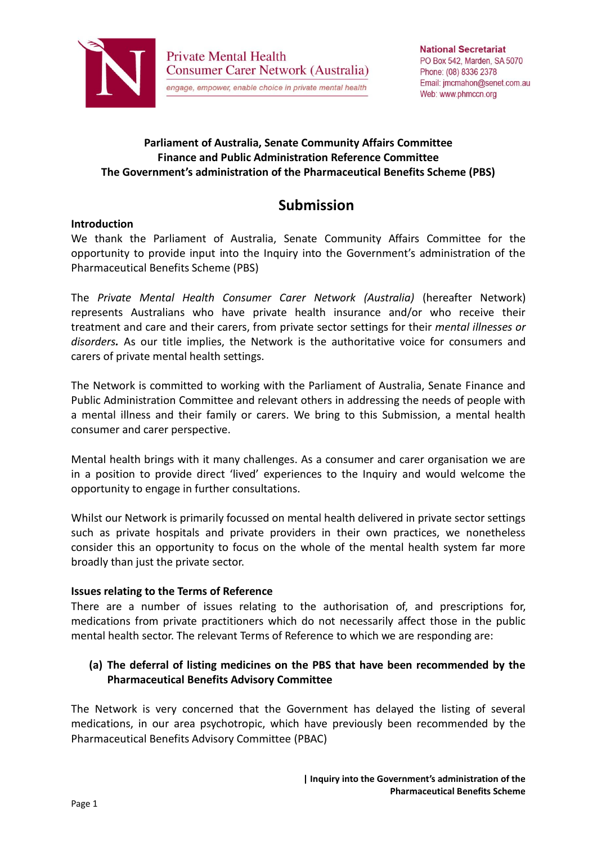

### **Parliament of Australia, Senate Community Affairs Committee Finance and Public Administration Reference Committee The Government's administration of the Pharmaceutical Benefits Scheme (PBS)**

# **Submission**

### **Introduction**

We thank the Parliament of Australia, Senate Community Affairs Committee for the opportunity to provide input into the Inquiry into the Government's administration of the Pharmaceutical Benefits Scheme (PBS)

The *Private Mental Health Consumer Carer Network (Australia)* (hereafter Network) represents Australians who have private health insurance and/or who receive their treatment and care and their carers, from private sector settings for their *mental illnesses or disorders.* As our title implies, the Network is the authoritative voice for consumers and carers of private mental health settings.

The Network is committed to working with the Parliament of Australia, Senate Finance and Public Administration Committee and relevant others in addressing the needs of people with a mental illness and their family or carers. We bring to this Submission, a mental health consumer and carer perspective.

Mental health brings with it many challenges. As a consumer and carer organisation we are in a position to provide direct 'lived' experiences to the Inquiry and would welcome the opportunity to engage in further consultations.

Whilst our Network is primarily focussed on mental health delivered in private sector settings such as private hospitals and private providers in their own practices, we nonetheless consider this an opportunity to focus on the whole of the mental health system far more broadly than just the private sector.

#### **Issues relating to the Terms of Reference**

There are a number of issues relating to the authorisation of, and prescriptions for, medications from private practitioners which do not necessarily affect those in the public mental health sector. The relevant Terms of Reference to which we are responding are:

# **(a) The deferral of listing medicines on the PBS that have been recommended by the Pharmaceutical Benefits Advisory Committee**

The Network is very concerned that the Government has delayed the listing of several medications, in our area psychotropic, which have previously been recommended by the Pharmaceutical Benefits Advisory Committee (PBAC)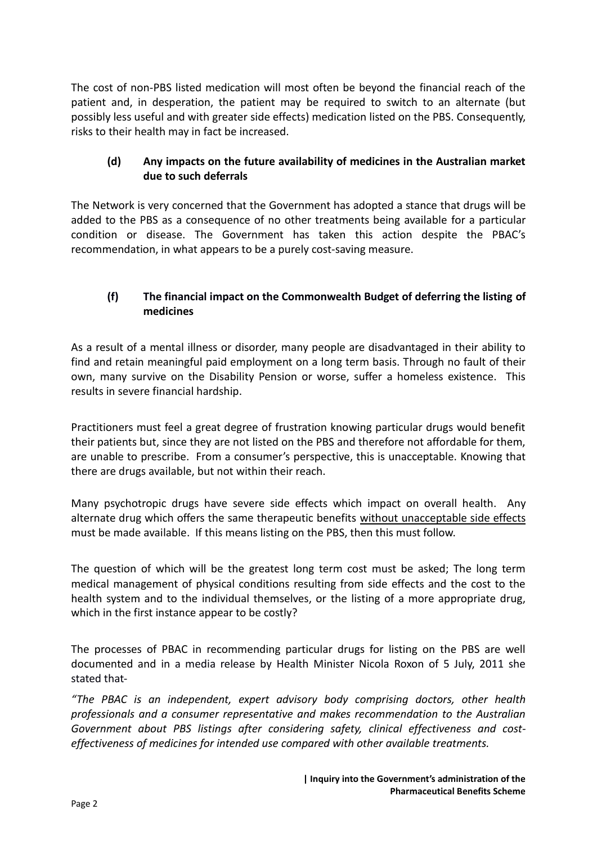The cost of non-PBS listed medication will most often be beyond the financial reach of the patient and, in desperation, the patient may be required to switch to an alternate (but possibly less useful and with greater side effects) medication listed on the PBS. Consequently, risks to their health may in fact be increased.

## **(d) Any impacts on the future availability of medicines in the Australian market due to such deferrals**

The Network is very concerned that the Government has adopted a stance that drugs will be added to the PBS as a consequence of no other treatments being available for a particular condition or disease. The Government has taken this action despite the PBAC's recommendation, in what appears to be a purely cost-saving measure.

# **(f) The financial impact on the Commonwealth Budget of deferring the listing of medicines**

As a result of a mental illness or disorder, many people are disadvantaged in their ability to find and retain meaningful paid employment on a long term basis. Through no fault of their own, many survive on the Disability Pension or worse, suffer a homeless existence. This results in severe financial hardship.

Practitioners must feel a great degree of frustration knowing particular drugs would benefit their patients but, since they are not listed on the PBS and therefore not affordable for them, are unable to prescribe. From a consumer's perspective, this is unacceptable. Knowing that there are drugs available, but not within their reach.

Many psychotropic drugs have severe side effects which impact on overall health. Any alternate drug which offers the same therapeutic benefits without unacceptable side effects must be made available. If this means listing on the PBS, then this must follow.

The question of which will be the greatest long term cost must be asked; The long term medical management of physical conditions resulting from side effects and the cost to the health system and to the individual themselves, or the listing of a more appropriate drug, which in the first instance appear to be costly?

The processes of PBAC in recommending particular drugs for listing on the PBS are well documented and in a media release by Health Minister Nicola Roxon of 5 July, 2011 she stated that-

*"The PBAC is an independent, expert advisory body comprising doctors, other health professionals and a consumer representative and makes recommendation to the Australian Government about PBS listings after considering safety, clinical effectiveness and costeffectiveness of medicines for intended use compared with other available treatments.*